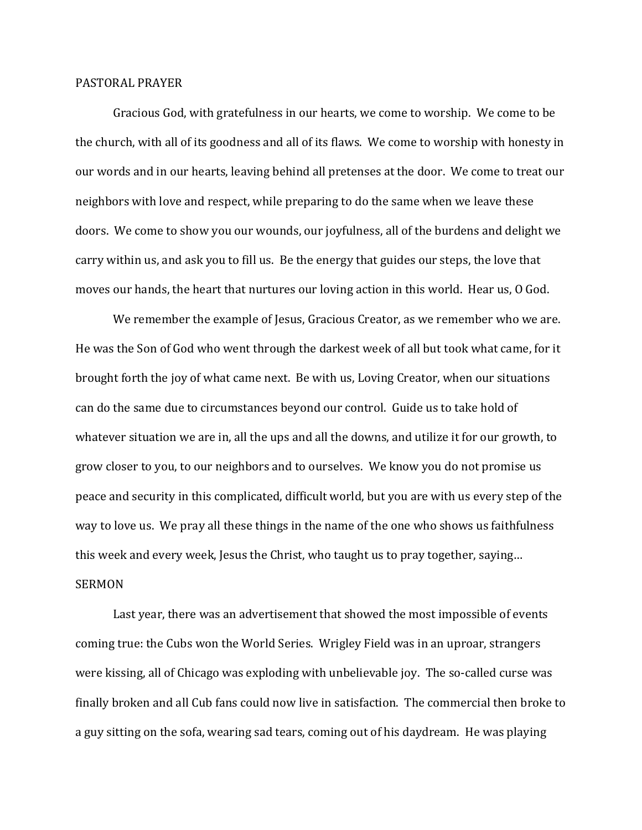## PASTORAL PRAYER

 Gracious God, with gratefulness in our hearts, we come to worship. We come to be the church, with all of its goodness and all of its flaws. We come to worship with honesty in our words and in our hearts, leaving behind all pretenses at the door. We come to treat our neighbors with love and respect, while preparing to do the same when we leave these doors. We come to show you our wounds, our joyfulness, all of the burdens and delight we carry within us, and ask you to fill us. Be the energy that guides our steps, the love that moves our hands, the heart that nurtures our loving action in this world. Hear us, O God.

 We remember the example of Jesus, Gracious Creator, as we remember who we are. He was the Son of God who went through the darkest week of all but took what came, for it brought forth the joy of what came next. Be with us, Loving Creator, when our situations can do the same due to circumstances beyond our control. Guide us to take hold of whatever situation we are in, all the ups and all the downs, and utilize it for our growth, to grow closer to you, to our neighbors and to ourselves. We know you do not promise us peace and security in this complicated, difficult world, but you are with us every step of the way to love us. We pray all these things in the name of the one who shows us faithfulness this week and every week, Jesus the Christ, who taught us to pray together, saying… SERMON

 Last year, there was an advertisement that showed the most impossible of events coming true: the Cubs won the World Series. Wrigley Field was in an uproar, strangers were kissing, all of Chicago was exploding with unbelievable joy. The so-called curse was finally broken and all Cub fans could now live in satisfaction. The commercial then broke to a guy sitting on the sofa, wearing sad tears, coming out of his daydream. He was playing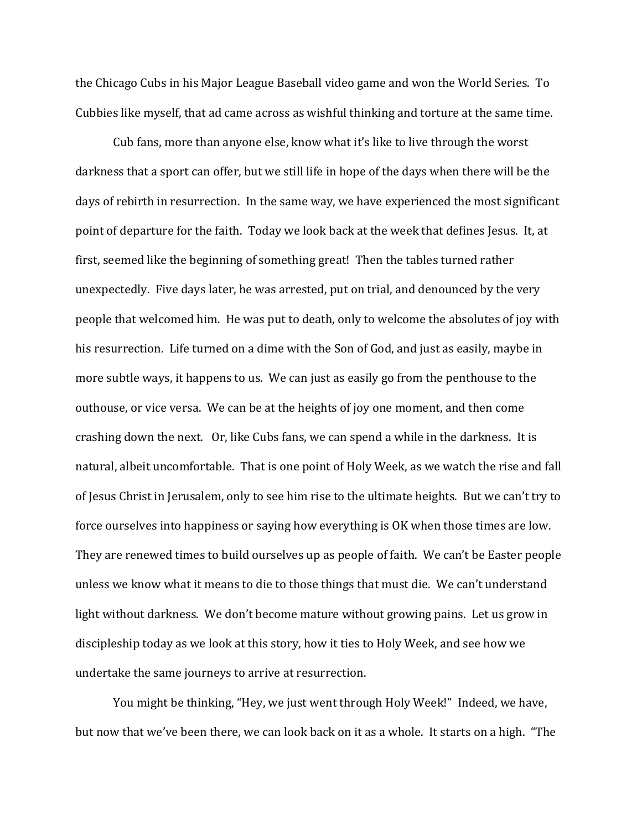the Chicago Cubs in his Major League Baseball video game and won the World Series. To Cubbies like myself, that ad came across as wishful thinking and torture at the same time.

Cub fans, more than anyone else, know what it's like to live through the worst darkness that a sport can offer, but we still life in hope of the days when there will be the days of rebirth in resurrection. In the same way, we have experienced the most significant point of departure for the faith. Today we look back at the week that defines Jesus. It, at first, seemed like the beginning of something great! Then the tables turned rather unexpectedly. Five days later, he was arrested, put on trial, and denounced by the very people that welcomed him. He was put to death, only to welcome the absolutes of joy with his resurrection. Life turned on a dime with the Son of God, and just as easily, maybe in more subtle ways, it happens to us. We can just as easily go from the penthouse to the outhouse, or vice versa. We can be at the heights of joy one moment, and then come crashing down the next. Or, like Cubs fans, we can spend a while in the darkness. It is natural, albeit uncomfortable. That is one point of Holy Week, as we watch the rise and fall of Jesus Christ in Jerusalem, only to see him rise to the ultimate heights. But we can't try to force ourselves into happiness or saying how everything is OK when those times are low. They are renewed times to build ourselves up as people of faith. We can't be Easter people unless we know what it means to die to those things that must die. We can't understand light without darkness. We don't become mature without growing pains. Let us grow in discipleship today as we look at this story, how it ties to Holy Week, and see how we undertake the same journeys to arrive at resurrection.

 You might be thinking, "Hey, we just went through Holy Week!" Indeed, we have, but now that we've been there, we can look back on it as a whole. It starts on a high. "The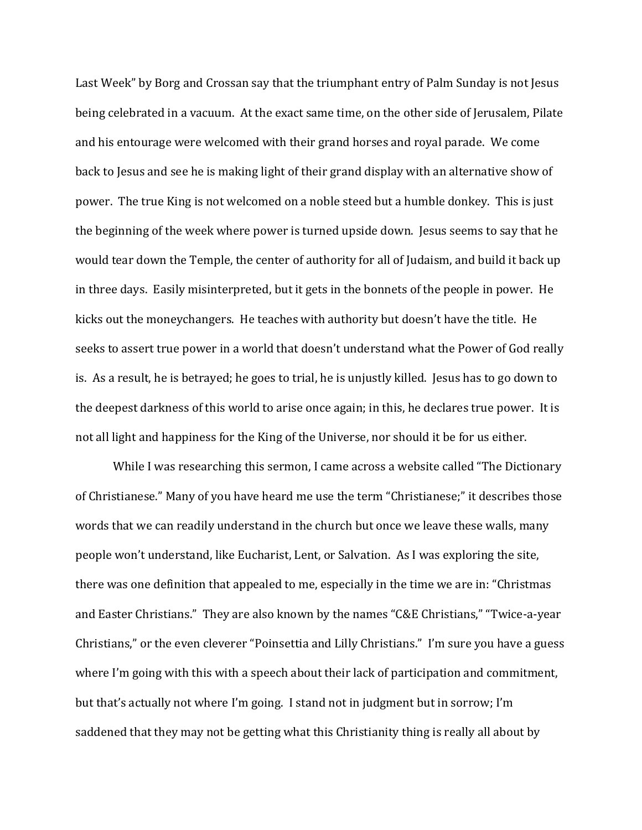Last Week" by Borg and Crossan say that the triumphant entry of Palm Sunday is not Jesus being celebrated in a vacuum. At the exact same time, on the other side of Jerusalem, Pilate and his entourage were welcomed with their grand horses and royal parade. We come back to Jesus and see he is making light of their grand display with an alternative show of power. The true King is not welcomed on a noble steed but a humble donkey. This is just the beginning of the week where power is turned upside down. Jesus seems to say that he would tear down the Temple, the center of authority for all of Judaism, and build it back up in three days. Easily misinterpreted, but it gets in the bonnets of the people in power. He kicks out the moneychangers. He teaches with authority but doesn't have the title. He seeks to assert true power in a world that doesn't understand what the Power of God really is. As a result, he is betrayed; he goes to trial, he is unjustly killed. Jesus has to go down to the deepest darkness of this world to arise once again; in this, he declares true power. It is not all light and happiness for the King of the Universe, nor should it be for us either.

 While I was researching this sermon, I came across a website called "The Dictionary of Christianese." Many of you have heard me use the term "Christianese;" it describes those words that we can readily understand in the church but once we leave these walls, many people won't understand, like Eucharist, Lent, or Salvation. As I was exploring the site, there was one definition that appealed to me, especially in the time we are in: "Christmas and Easter Christians." They are also known by the names "C&E Christians," "Twice-a-year Christians," or the even cleverer "Poinsettia and Lilly Christians." I'm sure you have a guess where I'm going with this with a speech about their lack of participation and commitment, but that's actually not where I'm going. I stand not in judgment but in sorrow; I'm saddened that they may not be getting what this Christianity thing is really all about by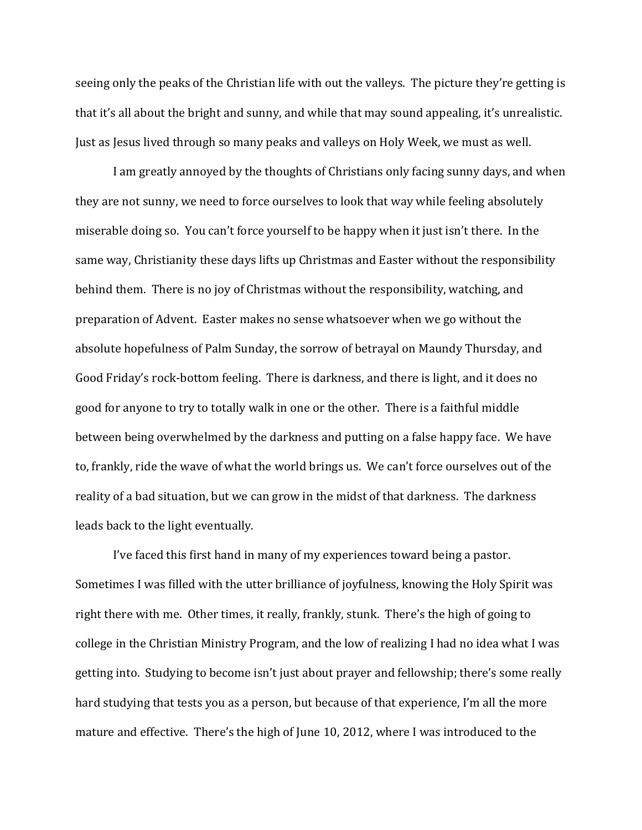seeing only the peaks of the Christian life with out the valleys. The picture they're getting is that it's all about the bright and sunny, and while that may sound appealing, it's unrealistic. Just as Jesus lived through so many peaks and valleys on Holy Week, we must as well.

I am greatly annoyed by the thoughts of Christians only facing sunny days, and when they are not sunny, we need to force ourselves to look that way while feeling absolutely miserable doing so. You can't force yourself to be happy when it just isn't there. In the same way, Christianity these days lifts up Christmas and Easter without the responsibility behind them. There is no joy of Christmas without the responsibility, watching, and preparation of Advent. Easter makes no sense whatsoever when we go without the absolute hopefulness of Palm Sunday, the sorrow of betrayal on Maundy Thursday, and Good Friday's rock-bottom feeling. There is darkness, and there is light, and it does no good for anyone to try to totally walk in one or the other. There is a faithful middle between being overwhelmed by the darkness and putting on a false happy face. We have to, frankly, ride the wave of what the world brings us. We can't force ourselves out of the reality of a bad situation, but we can grow in the midst of that darkness. The darkness leads back to the light eventually.

 I've faced this first hand in many of my experiences toward being a pastor. Sometimes I was filled with the utter brilliance of joyfulness, knowing the Holy Spirit was right there with me. Other times, it really, frankly, stunk. There's the high of going to college in the Christian Ministry Program, and the low of realizing I had no idea what I was getting into. Studying to become isn't just about prayer and fellowship; there's some really hard studying that tests you as a person, but because of that experience, I'm all the more mature and effective. There's the high of June 10, 2012, where I was introduced to the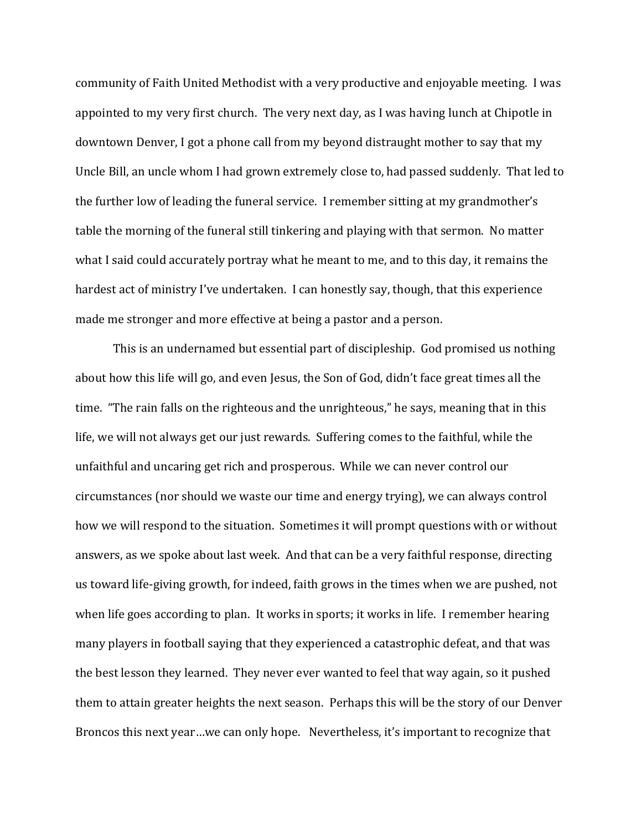community of Faith United Methodist with a very productive and enjoyable meeting. I was appointed to my very first church. The very next day, as I was having lunch at Chipotle in downtown Denver, I got a phone call from my beyond distraught mother to say that my Uncle Bill, an uncle whom I had grown extremely close to, had passed suddenly. That led to the further low of leading the funeral service. I remember sitting at my grandmother's table the morning of the funeral still tinkering and playing with that sermon. No matter what I said could accurately portray what he meant to me, and to this day, it remains the hardest act of ministry I've undertaken. I can honestly say, though, that this experience made me stronger and more effective at being a pastor and a person.

This is an undernamed but essential part of discipleship. God promised us nothing about how this life will go, and even Jesus, the Son of God, didn't face great times all the time. "The rain falls on the righteous and the unrighteous," he says, meaning that in this life, we will not always get our just rewards. Suffering comes to the faithful, while the unfaithful and uncaring get rich and prosperous. While we can never control our circumstances (nor should we waste our time and energy trying), we can always control how we will respond to the situation. Sometimes it will prompt questions with or without answers, as we spoke about last week. And that can be a very faithful response, directing us toward life-giving growth, for indeed, faith grows in the times when we are pushed, not when life goes according to plan. It works in sports; it works in life. I remember hearing many players in football saying that they experienced a catastrophic defeat, and that was the best lesson they learned. They never ever wanted to feel that way again, so it pushed them to attain greater heights the next season. Perhaps this will be the story of our Denver Broncos this next year…we can only hope. Nevertheless, it's important to recognize that